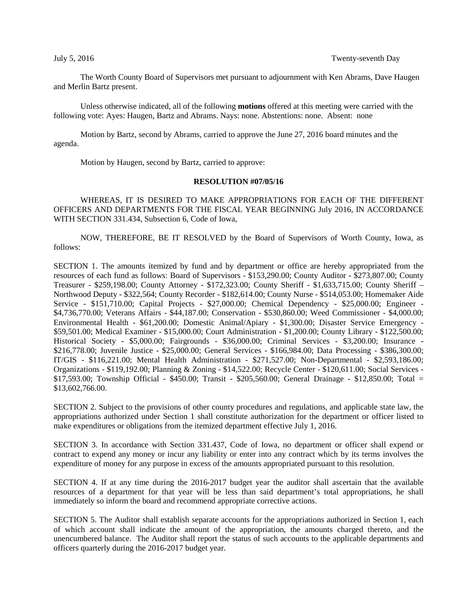The Worth County Board of Supervisors met pursuant to adjournment with Ken Abrams, Dave Haugen and Merlin Bartz present.

Unless otherwise indicated, all of the following **motions** offered at this meeting were carried with the following vote: Ayes: Haugen, Bartz and Abrams. Nays: none. Abstentions: none. Absent: none

Motion by Bartz, second by Abrams, carried to approve the June 27, 2016 board minutes and the agenda.

Motion by Haugen, second by Bartz, carried to approve:

## **RESOLUTION #07/05/16**

WHEREAS, IT IS DESIRED TO MAKE APPROPRIATIONS FOR EACH OF THE DIFFERENT OFFICERS AND DEPARTMENTS FOR THE FISCAL YEAR BEGINNING July 2016, IN ACCORDANCE WITH SECTION 331.434, Subsection 6, Code of Iowa,

NOW, THEREFORE, BE IT RESOLVED by the Board of Supervisors of Worth County, Iowa, as follows:

SECTION 1. The amounts itemized by fund and by department or office are hereby appropriated from the resources of each fund as follows: Board of Supervisors - \$153,290.00; County Auditor - \$273,807.00; County Treasurer - \$259,198.00; County Attorney - \$172,323.00; County Sheriff - \$1,633,715.00; County Sheriff – Northwood Deputy - \$322,564; County Recorder - \$182,614.00; County Nurse - \$514,053.00; Homemaker Aide Service - \$151,710.00; Capital Projects - \$27,000.00; Chemical Dependency - \$25,000.00; Engineer - \$4,736,770.00; Veterans Affairs - \$44,187.00; Conservation - \$530,860.00; Weed Commissioner - \$4,000.00; Environmental Health - \$61,200.00; Domestic Animal/Apiary - \$1,300.00; Disaster Service Emergency - \$59,501.00; Medical Examiner - \$15,000.00; Court Administration - \$1,200.00; County Library - \$122,500.00; Historical Society - \$5,000.00; Fairgrounds - \$36,000.00; Criminal Services - \$3,200.00; Insurance - \$216,778.00; Juvenile Justice - \$25,000.00; General Services - \$166,984.00; Data Processing - \$386,300.00; IT/GIS - \$116,221.00; Mental Health Administration - \$271,527.00; Non-Departmental - \$2,593,186.00; Organizations - \$119,192.00; Planning & Zoning - \$14,522.00; Recycle Center - \$120,611.00; Social Services - \$17,593.00; Township Official - \$450.00; Transit - \$205,560.00; General Drainage - \$12,850.00; Total = \$13,602,766.00.

SECTION 2. Subject to the provisions of other county procedures and regulations, and applicable state law, the appropriations authorized under Section 1 shall constitute authorization for the department or officer listed to make expenditures or obligations from the itemized department effective July 1, 2016.

SECTION 3. In accordance with Section 331.437, Code of Iowa, no department or officer shall expend or contract to expend any money or incur any liability or enter into any contract which by its terms involves the expenditure of money for any purpose in excess of the amounts appropriated pursuant to this resolution.

SECTION 4. If at any time during the 2016-2017 budget year the auditor shall ascertain that the available resources of a department for that year will be less than said department's total appropriations, he shall immediately so inform the board and recommend appropriate corrective actions.

SECTION 5. The Auditor shall establish separate accounts for the appropriations authorized in Section 1, each of which account shall indicate the amount of the appropriation, the amounts charged thereto, and the unencumbered balance. The Auditor shall report the status of such accounts to the applicable departments and officers quarterly during the 2016-2017 budget year.